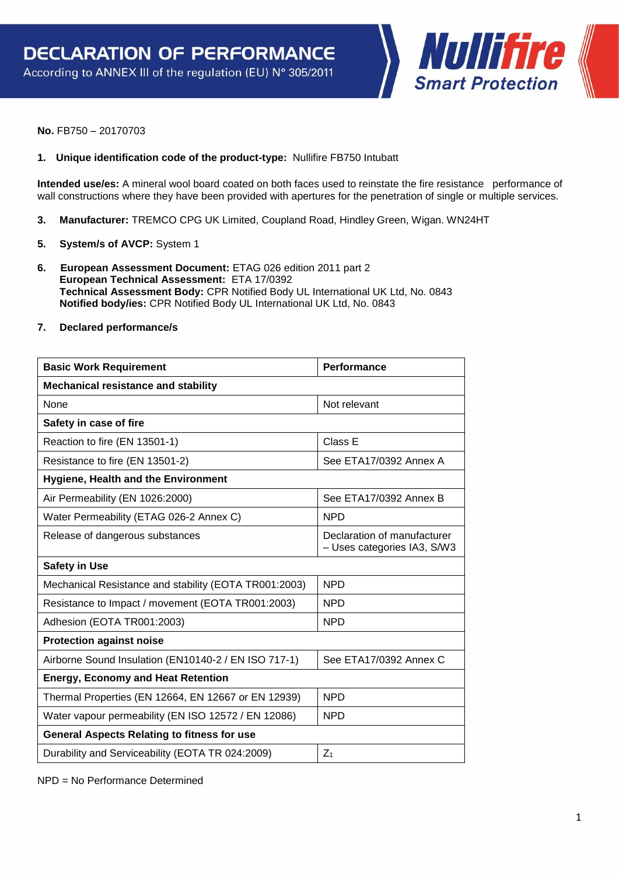Nullifire **Smart Protection** 

**No.** FB750 – 20170703

## **1. Unique identification code of the product-type:** Nullifire FB750 Intubatt

**Intended use/es:** A mineral wool board coated on both faces used to reinstate the fire resistance performance of wall constructions where they have been provided with apertures for the penetration of single or multiple services.

- **3. Manufacturer:** TREMCO CPG UK Limited, Coupland Road, Hindley Green, Wigan. WN24HT
- **5. System/s of AVCP:** System 1
- **6. European Assessment Document:** ETAG 026 edition 2011 part 2 **European Technical Assessment:** ETA 17/0392 **Technical Assessment Body:** CPR Notified Body UL International UK Ltd, No. 0843 **Notified body/ies:** CPR Notified Body UL International UK Ltd, No. 0843
- **7. Declared performance/s**

| <b>Basic Work Requirement</b>                         | <b>Performance</b>                                         |  |
|-------------------------------------------------------|------------------------------------------------------------|--|
| <b>Mechanical resistance and stability</b>            |                                                            |  |
| <b>None</b>                                           | Not relevant                                               |  |
| Safety in case of fire                                |                                                            |  |
| Reaction to fire (EN 13501-1)                         | Class E                                                    |  |
| Resistance to fire (EN 13501-2)                       | See ETA17/0392 Annex A                                     |  |
| <b>Hygiene, Health and the Environment</b>            |                                                            |  |
| Air Permeability (EN 1026:2000)                       | See ETA17/0392 Annex B                                     |  |
| Water Permeability (ETAG 026-2 Annex C)               | <b>NPD</b>                                                 |  |
| Release of dangerous substances                       | Declaration of manufacturer<br>- Uses categories IA3, S/W3 |  |
| <b>Safety in Use</b>                                  |                                                            |  |
| Mechanical Resistance and stability (EOTA TR001:2003) | <b>NPD</b>                                                 |  |
| Resistance to Impact / movement (EOTA TR001:2003)     | <b>NPD</b>                                                 |  |
| Adhesion (EOTA TR001:2003)                            | <b>NPD</b>                                                 |  |
| <b>Protection against noise</b>                       |                                                            |  |
| Airborne Sound Insulation (EN10140-2 / EN ISO 717-1)  | See ETA17/0392 Annex C                                     |  |
| <b>Energy, Economy and Heat Retention</b>             |                                                            |  |
| Thermal Properties (EN 12664, EN 12667 or EN 12939)   | <b>NPD</b>                                                 |  |
| Water vapour permeability (EN ISO 12572 / EN 12086)   | <b>NPD</b>                                                 |  |
| <b>General Aspects Relating to fitness for use</b>    |                                                            |  |
| Durability and Serviceability (EOTA TR 024:2009)      | $Z_1$                                                      |  |

NPD = No Performance Determined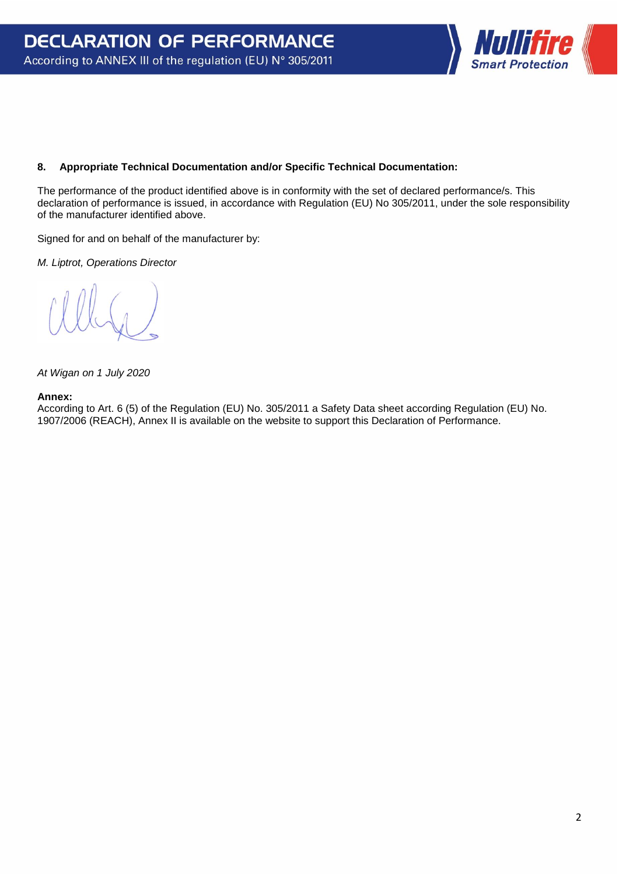

## **8. Appropriate Technical Documentation and/or Specific Technical Documentation:**

The performance of the product identified above is in conformity with the set of declared performance/s. This declaration of performance is issued, in accordance with Regulation (EU) No 305/2011, under the sole responsibility of the manufacturer identified above.

Signed for and on behalf of the manufacturer by:

*M. Liptrot, Operations Director*

*At Wigan on 1 July 2020*

## **Annex:**

According to Art. 6 (5) of the Regulation (EU) No. 305/2011 a Safety Data sheet according Regulation (EU) No. 1907/2006 (REACH), Annex II is available on the website to support this Declaration of Performance.